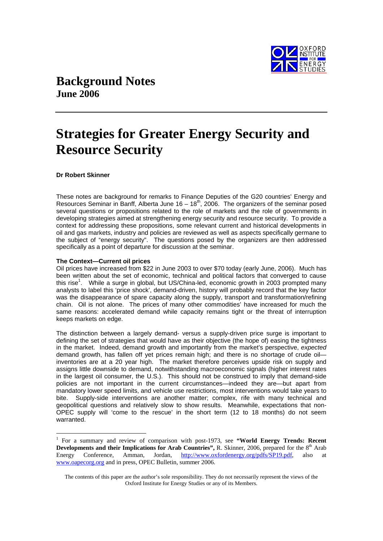

# **Background Notes June 2006**

# **Strategies for Greater Energy Security and Resource Security**

# **Dr Robert Skinner**

These notes are background for remarks to Finance Deputies of the G20 countries' Energy and Resources Seminar in Banff, Alberta June  $16 - 18<sup>th</sup>$ , 2006. The organizers of the seminar posed several questions or propositions related to the role of markets and the role of governments in developing strategies aimed at strengthening energy security and resource security. To provide a context for addressing these propositions, some relevant current and historical developments in oil and gas markets, industry and policies are reviewed as well as aspects specifically germane to the subject of "energy security". The questions posed by the organizers are then addressed specifically as a point of departure for discussion at the seminar.

#### **The Context—Current oil prices**

Oil prices have increased from \$22 in June 2003 to over \$70 today (early June, 2006). Much has been written about the set of economic, technical and political factors that converged to cause this rise<sup>1</sup>. While a surge in global, but US/China-led, economic growth in 2003 prompted many analysts to label this 'price shock', demand-driven, history will probably record that the key factor was the disappearance of spare capacity along the supply, transport and transformation/refining chain. Oil is not alone. The prices of many other commodities' have increased for much the same reasons: accelerated demand while capacity remains tight or the threat of interruption keeps markets on edge.

The distinction between a largely demand- versus a supply-driven price surge is important to defining the set of strategies that would have as their objective (the hope of) easing the tightness in the market. Indeed, demand growth and importantly from the market's perspective, *expected* demand growth, has fallen off yet prices remain high; and there is no shortage of crude oil inventories are at a 20 year high. The market therefore perceives upside risk on supply and assigns little downside to demand, notwithstanding macroeconomic signals (higher interest rates in the largest oil consumer, the U.S.). This should not be construed to imply that demand-side policies are not important in the current circumstances—indeed they are—but apart from mandatory lower speed limits, and vehicle use restrictions, most interventions would take years to bite. Supply-side interventions are another matter; complex, rife with many technical and geopolitical questions and relatively slow to show results. Meanwhile, expectations that non-OPEC supply will 'come to the rescue' in the short term (12 to 18 months) do not seem warranted.

<sup>&</sup>lt;sup>1</sup> For a summary and review of comparison with post-1973, see "World Energy Trends: Recent **Developments and their Implications for Arab Countries", R. Skinner, 2006, prepared for the 8<sup>th</sup> Arab** Energy Conference, Amman, Jordan, http://www.oxfordenergy.org/pdfs/SP19.pdf, also at www.oapecorg.org and in press, OPEC Bulletin, summer 2006.

The contents of this paper are the author's sole responsibility. They do not necessarily represent the views of the Oxford Institute for Energy Studies or any of its Members.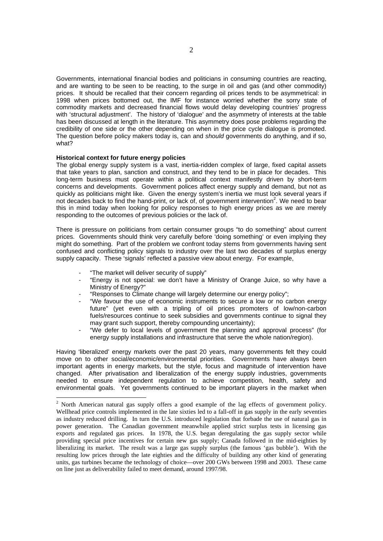Governments, international financial bodies and politicians in consuming countries are reacting, and are wanting to be seen to be reacting, to the surge in oil and gas (and other commodity) prices. It should be recalled that their concern regarding oil prices tends to be asymmetrical: in 1998 when prices bottomed out, the IMF for instance worried whether the sorry state of commodity markets and decreased financial flows would delay developing countries' progress with 'structural adjustment'. The history of 'dialogue' and the asymmetry of interests at the table has been discussed at length in the literature. This asymmetry does pose problems regarding the credibility of one side or the other depending on when in the price cycle dialogue is promoted. The question before policy makers today is, can and *should* governments do anything, and if so, what?

### **Historical context for future energy policies**

The global energy supply system is a vast, inertia-ridden complex of large, fixed capital assets that take years to plan, sanction and construct, and they tend to be in place for decades. This long-term business must operate within a political context manifestly driven by short-term concerns and developments. Government polices affect energy supply and demand, but not as quickly as politicians might like. Given the energy system's inertia we must look several years if not decades back to find the hand-print, or lack of, of government intervention<sup>2</sup>. We need to bear this in mind today when looking for policy responses to high energy prices as we are merely responding to the outcomes of previous policies or the lack of.

There is pressure on politicians from certain consumer groups "to do something" about current prices. Governments should think very carefully before 'doing something' or even implying they might do something. Part of the problem we confront today stems from governments having sent confused and conflicting policy signals to industry over the last two decades of surplus energy supply capacity. These 'signals' reflected a passive view about energy. For example,

- "The market will deliver security of supply"
- "Energy is not special: we don't have a Ministry of Orange Juice, so why have a Ministry of Energy?"
- "Responses to Climate change will largely determine our energy policy";
- "We favour the use of economic instruments to secure a low or no carbon energy future" (yet even with a tripling of oil prices promoters of low/non-carbon fuels/resources continue to seek subsidies and governments continue to signal they may grant such support, thereby compounding uncertainty);
- "We defer to local levels of government the planning and approval process" (for energy supply installations and infrastructure that serve the whole nation/region).

Having 'liberalized' energy markets over the past 20 years, many governments felt they could move on to other social/economic/environmental priorities. Governments have always been important agents in energy markets, but the style, focus and magnitude of intervention have changed. After privatisation and liberalization of the energy supply industries, governments needed to ensure independent regulation to achieve competition, health, safety and environmental goals. Yet governments continued to be important players in the market when

<sup>&</sup>lt;sup>2</sup> North American natural gas supply offers a good example of the lag effects of government policy. Wellhead price controls implemented in the late sixties led to a fall-off in gas supply in the early seventies as industry reduced drilling. In turn the U.S. introduced legislation that forbade the use of natural gas in power generation. The Canadian government meanwhile applied strict surplus tests in licensing gas exports and regulated gas prices. In 1978, the U.S. began deregulating the gas supply sector while providing special price incentives for certain new gas supply; Canada followed in the mid-eighties by liberalizing its market. The result was a large gas supply surplus (the famous 'gas bubble'). With the resulting low prices through the late eighties and the difficulty of building any other kind of generating units, gas turbines became the technology of choice—over 200 GWs between 1998 and 2003. These came on line just as deliverability failed to meet demand, around 1997/98.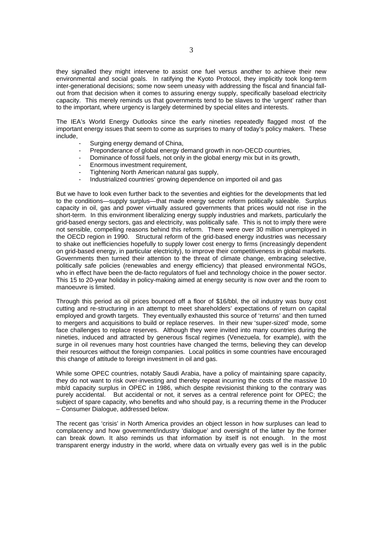they signalled they might intervene to assist one fuel versus another to achieve their new environmental and social goals. In ratifying the Kyoto Protocol, they implicitly took long-term inter-generational decisions; some now seem uneasy with addressing the fiscal and financial fallout from that decision when it comes to assuring energy supply, specifically baseload electricity capacity. This merely reminds us that governments tend to be slaves to the 'urgent' rather than to the important, where urgency is largely determined by special elites and interests.

The IEA's World Energy Outlooks since the early nineties repeatedly flagged most of the important energy issues that seem to come as surprises to many of today's policy makers. These include,

- Surging energy demand of China,
- Preponderance of global energy demand growth in non-OECD countries,
- Dominance of fossil fuels, not only in the global energy mix but in its growth,
- Enormous investment requirement,
- Tightening North American natural gas supply,
- Industrialized countries' growing dependence on imported oil and gas

But we have to look even further back to the seventies and eighties for the developments that led to the conditions—supply surplus—that made energy sector reform politically saleable. Surplus capacity in oil, gas and power virtually assured governments that prices would not rise in the short-term. In this environment liberalizing energy supply industries and markets, particularly the grid-based energy sectors, gas and electricity, was politically safe. This is not to imply there were not sensible, compelling reasons behind this reform. There were over 30 million unemployed in the OECD region in 1990. Structural reform of the grid-based energy industries was necessary to shake out inefficiencies hopefully to supply lower cost energy to firms (increasingly dependent on grid-based energy, in particular electricity), to improve their competitiveness in global markets. Governments then turned their attention to the threat of climate change, embracing selective, politically safe policies (renewables and energy efficiency) that pleased environmental NGOs, who in effect have been the de-facto regulators of fuel and technology choice in the power sector. This 15 to 20-year holiday in policy-making aimed at energy security is now over and the room to manoeuvre is limited.

Through this period as oil prices bounced off a floor of \$16/bbl, the oil industry was busy cost cutting and re-structuring in an attempt to meet shareholders' expectations of return on capital employed and growth targets. They eventually exhausted this source of 'returns' and then turned to mergers and acquisitions to build or replace reserves. In their new 'super-sized' mode, some face challenges to replace reserves. Although they were invited into many countries during the nineties, induced and attracted by generous fiscal regimes (Venezuela, for example), with the surge in oil revenues many host countries have changed the terms, believing they can develop their resources without the foreign companies. Local politics in some countries have encouraged this change of attitude to foreign investment in oil and gas.

While some OPEC countries, notably Saudi Arabia, have a policy of maintaining spare capacity, they do not want to risk over-investing and thereby repeat incurring the costs of the massive 10 mb/d capacity surplus in OPEC in 1986, which despite revisionist thinking to the contrary was purely accidental. But accidental or not, it serves as a central reference point for OPEC; the subject of spare capacity, who benefits and who should pay, is a recurring theme in the Producer – Consumer Dialogue, addressed below.

The recent gas 'crisis' in North America provides an object lesson in how surpluses can lead to complacency and how government/industry 'dialogue' and oversight of the latter by the former can break down. It also reminds us that information by itself is not enough. In the most transparent energy industry in the world, where data on virtually every gas well is in the public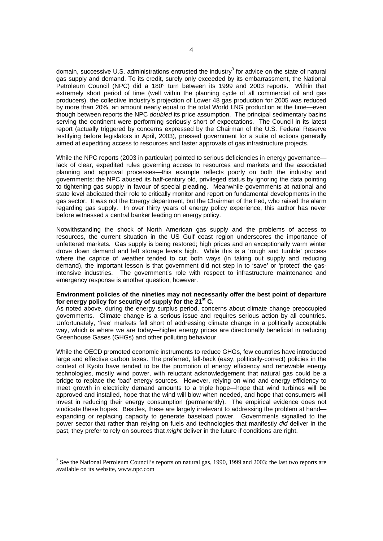domain, successive U.S. administrations entrusted the industry<sup>3</sup> for advice on the state of natural gas supply and demand. To its credit, surely only exceeded by its embarrassment, the National Petroleum Council (NPC) did a 180° turn between its 1999 and 2003 reports. Within that extremely short period of time (well within the planning cycle of all commercial oil and gas producers), the collective industry's projection of Lower 48 gas production for 2005 was reduced by more than 20%, an amount nearly equal to the total World LNG production at the time—even though between reports the NPC *doubled* its price assumption. The principal sedimentary basins serving the continent were performing seriously short of expectations. The Council in its latest report (actually triggered by concerns expressed by the Chairman of the U.S. Federal Reserve testifying before legislators in April, 2003), pressed government for a suite of actions generally aimed at expediting access to resources and faster approvals of gas infrastructure projects.

While the NPC reports (2003 in particular) pointed to serious deficiencies in energy governancelack of clear, expedited rules governing access to resources and markets and the associated planning and approval processes—this example reflects poorly on both the industry and governments: the NPC abused its half-century old, privileged status by ignoring the data pointing to tightening gas supply in favour of special pleading. Meanwhile governments at national and state level abdicated their role to critically monitor and report on fundamental developments in the gas sector. It was not the Energy department, but the Chairman of the Fed, who raised the alarm regarding gas supply. In over thirty years of energy policy experience, this author has never before witnessed a central banker leading on energy policy.

Notwithstanding the shock of North American gas supply and the problems of access to resources, the current situation in the US Gulf coast region underscores the importance of unfettered markets. Gas supply is being restored; high prices and an exceptionally warm winter drove down demand and left storage levels high. While this is a 'rough and tumble' process where the caprice of weather tended to cut both ways (in taking out supply and reducing demand), the important lesson is that government did not step in to 'save' or 'protect' the gasintensive industries. The government's role with respect to infrastructure maintenance and emergency response is another question, however.

#### **Environment policies of the nineties may not necessarily offer the best point of departure for energy policy for security of supply for the 21st C.**

As noted above, during the energy surplus period, concerns about climate change preoccupied governments. Climate change is a serious issue and requires serious action by all countries. Unfortunately, 'free' markets fall short of addressing climate change in a politically acceptable way, which is where we are today—higher energy prices are directionally beneficial in reducing Greenhouse Gases (GHGs) and other polluting behaviour.

While the OECD promoted economic instruments to reduce GHGs, few countries have introduced large and effective carbon taxes. The preferred, fall-back (easy, politically-correct) policies in the context of Kyoto have tended to be the promotion of energy efficiency and renewable energy technologies, mostly wind power, with reluctant acknowledgement that natural gas could be a bridge to replace the 'bad' energy sources. However, relying on wind and energy efficiency to meet growth in electricity demand amounts to a triple hope—hope that wind turbines will be approved and installed, hope that the wind will blow when needed, and hope that consumers will invest in reducing their energy consumption (permanently). The empirical evidence does not vindicate these hopes. Besides, these are largely irrelevant to addressing the problem at hand expanding or replacing capacity to generate baseload power. Governments signalled to the power sector that rather than relying on fuels and technologies that manifestly *did* deliver in the past, they prefer to rely on sources that *might* deliver in the future if conditions are right.

<sup>&</sup>lt;sup>3</sup> See the National Petroleum Council's reports on natural gas, 1990, 1999 and 2003; the last two reports are available on its website, www.npc.com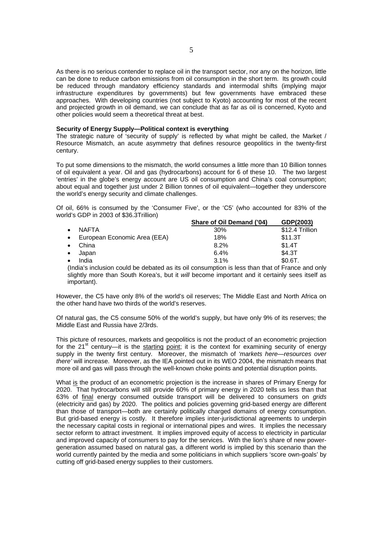As there is no serious contender to replace oil in the transport sector, nor any on the horizon, little can be done to reduce carbon emissions from oil consumption in the short term. Its growth could be reduced through mandatory efficiency standards and intermodal shifts (implying major infrastructure expenditures by governments) but few governments have embraced these approaches. With developing countries (not subject to Kyoto) accounting for most of the recent and projected growth in oil demand, we can conclude that as far as oil is concerned, Kyoto and other policies would seem a theoretical threat at best.

#### **Security of Energy Supply—Political context is everything**

The strategic nature of 'security of supply' is reflected by what might be called, the Market / Resource Mismatch, an acute asymmetry that defines resource geopolitics in the twenty-first century.

To put some dimensions to the mismatch, the world consumes a little more than 10 Billion tonnes of oil equivalent a year. Oil and gas (hydrocarbons) account for 6 of these 10. The two largest 'entries' in the globe's energy account are US oil consumption and China's coal consumption; about equal and together just under 2 Billion tonnes of oil equivalent—together they underscore the world's energy security and climate challenges.

Of oil, 66% is consumed by the 'Consumer Five', or the 'C5' (who accounted for 83% of the world's GDP in 2003 of \$36.3Trillion)

|           |                                | Share of Oil Demand ('04) | GDP(2003)       |
|-----------|--------------------------------|---------------------------|-----------------|
| $\bullet$ | <b>NAFTA</b>                   | $30\%$                    | \$12.4 Trillion |
|           | • European Economic Area (EEA) | 18%                       | \$11.3T         |
| $\bullet$ | China                          | 8.2%                      | \$1.4T          |
| $\bullet$ | Japan                          | 6.4%                      | \$4.3T          |
| $\bullet$ | India                          | 3.1%                      | \$0.6T.         |

(India's inclusion could be debated as its oil consumption is less than that of France and only slightly more than South Korea's, but it *will* become important and it certainly sees itself as important).

However, the C5 have only 8% of the world's oil reserves; The Middle East and North Africa on the other hand have two thirds of the world's reserves.

Of natural gas, the C5 consume 50% of the world's supply, but have only 9% of its reserves; the Middle East and Russia have 2/3rds.

This picture of resources, markets and geopolitics is not the product of an econometric projection for the  $21<sup>st</sup>$  century—it is the starting point; it is the context for examining security of energy supply in the twenty first century. Moreover, the mismatch of *'markets here—resources over there'* will increase. Moreover, as the IEA pointed out in its WEO 2004, the mismatch means that more oil and gas will pass through the well-known choke points and potential disruption points.

What is the product of an econometric projection is the increase in shares of Primary Energy for 2020. That hydrocarbons will still provide 60% of primary energy in 2020 tells us less than that 63% of final energy consumed outside transport will be delivered to consumers on *grids* (electricity and gas) by 2020. The politics and policies governing grid-based energy are different than those of transport—both are certainly politically charged domains of energy consumption. But grid-based energy is costly. It therefore implies inter-jurisdictional agreements to underpin the necessary capital costs in regional or international pipes and wires. It implies the necessary sector reform to attract investment. It implies improved equity of access to electricity in particular and improved capacity of consumers to pay for the services. With the lion's share of new powergeneration assumed based on natural gas, a different world is implied by this scenario than the world currently painted by the media and some politicians in which suppliers 'score own-goals' by cutting off grid-based energy supplies to their customers.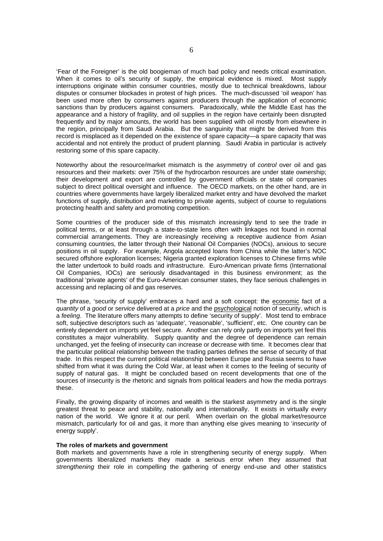'Fear of the Foreigner' is the old boogieman of much bad policy and needs critical examination. When it comes to oil's security of supply, the empirical evidence is mixed. Most supply interruptions originate within consumer countries, mostly due to technical breakdowns, labour disputes or consumer blockades in protest of high prices. The much-discussed 'oil weapon' has been used more often by consumers against producers through the application of economic sanctions than by producers against consumers. Paradoxically, while the Middle East has the appearance and a history of fragility, and oil supplies in the region have certainly been disrupted frequently and by major amounts, the world has been supplied with oil mostly from elsewhere in the region, principally from Saudi Arabia. But the sanguinity that might be derived from this record is misplaced as it depended on the existence of spare capacity—a spare capacity that was accidental and not entirely the product of prudent planning. Saudi Arabia in particular is actively restoring some of this spare capacity.

Noteworthy about the resource/market mismatch is the asymmetry of *control* over oil and gas resources and their markets: over 75% of the hydrocarbon resources are under state ownership; their development and export are controlled by government officials or state oil companies subject to direct political oversight and influence. The OECD markets, on the other hand, are in countries where governments have largely liberalized market entry and have devolved the market functions of supply, distribution and marketing to private agents, subject of course to regulations protecting health and safety and promoting competition.

Some countries of the producer side of this mismatch increasingly tend to see the trade in political terms, or at least through a state-to-state lens often with linkages not found in normal commercial arrangements. They are increasingly receiving a receptive audience from Asian consuming countries, the latter through their National Oil Companies (NOCs), anxious to secure positions in oil supply. For example, Angola accepted loans from China while the latter's NOC secured offshore exploration licenses; Nigeria granted exploration licenses to Chinese firms while the latter undertook to build roads and infrastructure. Euro-American private firms (International Oil Companies, IOCs) are seriously disadvantaged in this business environment; as the traditional 'private agents' of the Euro-American consumer states, they face serious challenges in accessing and replacing oil and gas reserves.

The phrase, 'security of supply' embraces a hard and a soft concept: the economic fact of a *quantity* of a *good* or *service* delivered at a *price* and the psychological notion of security, which is a *feeling*. The literature offers many attempts to define 'security of supply'. Most tend to embrace soft, subjective descriptors such as 'adequate', 'reasonable', 'sufficient', etc. One country can be entirely dependent on imports yet feel secure. Another can rely only partly on imports yet feel this constitutes a major vulnerability. Supply quantity and the degree of dependence can remain unchanged, yet the feeling of insecurity can increase or decrease with time. It becomes clear that the particular political relationship between the trading parties defines the sense of security of that trade. In this respect the current political relationship between Europe and Russia seems to have shifted from what it was during the Cold War, at least when it comes to the feeling of security of supply of natural gas. It might be concluded based on recent developments that one of the sources of insecurity is the rhetoric and signals from political leaders and how the media portrays these.

Finally, the growing disparity of incomes and wealth is the starkest asymmetry and is the single greatest threat to peace and stability, nationally and internationally. It exists in virtually every nation of the world. We ignore it at our peril. When overlain on the global market/resource mismatch, particularly for oil and gas, it more than anything else gives meaning to '*insecurity* of energy supply'.

#### **The roles of markets and government**

Both markets and governments have a role in strengthening security of energy supply. When governments liberalized markets they made a serious error when they assumed that *strengthening* their role in compelling the gathering of energy end-use and other statistics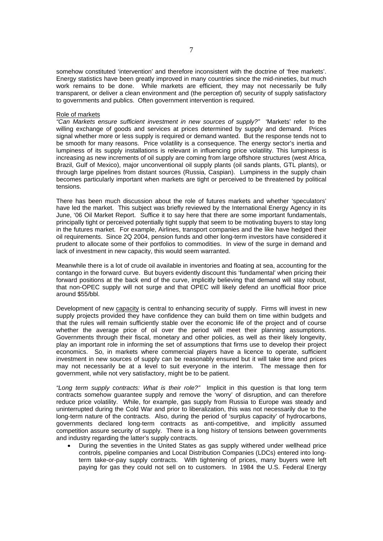somehow constituted 'intervention' and therefore inconsistent with the doctrine of 'free markets'. Energy statistics have been greatly improved in many countries since the mid-nineties, but much work remains to be done. While markets are efficient, they may not necessarily be fully transparent, or deliver a clean environment and (the perception of) security of supply satisfactory to governments and publics. Often government intervention is required.

#### Role of markets

*"Can Markets ensure sufficient investment in new sources of supply?"* 'Markets' refer to the willing exchange of goods and services at prices determined by supply and demand. Prices signal whether more or less supply is required or demand wanted. But the response tends not to be smooth for many reasons. Price volatility is a consequence. The energy sector's inertia and lumpiness of its supply installations is relevant in influencing price volatility. This lumpiness is increasing as new increments of oil supply are coming from large offshore structures (west Africa, Brazil, Gulf of Mexico), major unconventional oil supply plants (oil sands plants, GTL plants), or through large pipelines from distant sources (Russia, Caspian). Lumpiness in the supply chain becomes particularly important when markets are tight or perceived to be threatened by political tensions.

There has been much discussion about the role of futures markets and whether 'speculators' have led the market. This subject was briefly reviewed by the International Energy Agency in its June, '06 Oil Market Report. Suffice it to say here that there are some important fundamentals, principally tight or perceived potentially tight supply that seem to be motivating buyers to stay long in the futures market. For example, Airlines, transport companies and the like have hedged their oil requirements. Since 2Q 2004, pension funds and other long-term investors have considered it prudent to allocate some of their portfolios to commodities. In view of the surge in demand and lack of investment in new capacity, this would seem warranted.

Meanwhile there is a lot of crude oil available in inventories and floating at sea, accounting for the contango in the forward curve. But buyers evidently discount this 'fundamental' when pricing their forward positions at the back end of the curve, implicitly believing that demand will stay robust, that non-OPEC supply will not surge and that OPEC will likely defend an unofficial floor price around \$55/bbl.

Development of new capacity is central to enhancing security of supply. Firms will invest in new supply projects provided they have confidence they can build them on time within budgets and that the rules will remain sufficiently stable over the economic life of the project and of course whether the average price of oil over the period will meet their planning assumptions. Governments through their fiscal, monetary and other policies, as well as their likely longevity, play an important role in informing the set of assumptions that firms use to develop their project economics. So, in markets where commercial players have a licence to operate, sufficient investment in new sources of supply can be reasonably ensured but it will take time and prices may not necessarily be at a level to suit everyone in the interim. The message then for government, while not very satisfactory, might be to be patient.

*"Long term supply contracts: What is their role?"* Implicit in this question is that long term contracts somehow guarantee supply and remove the 'worry' of disruption, and can therefore reduce price volatility. While, for example, gas supply from Russia to Europe was steady and uninterrupted during the Cold War and prior to liberalization, this was not necessarily due to the long-term nature of the contracts. Also, during the period of 'surplus capacity' of hydrocarbons, governments declared long-term contracts as anti-competitive, and implicitly assumed competition assure security of supply. There is a long history of tensions between governments and industry regarding the latter's supply contracts.

• During the seventies in the United States as gas supply withered under wellhead price controls, pipeline companies and Local Distribution Companies (LDCs) entered into longterm take-or-pay supply contracts. With tightening of prices, many buyers were left paying for gas they could not sell on to customers. In 1984 the U.S. Federal Energy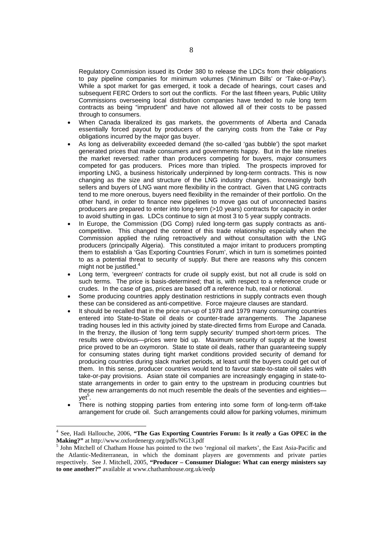Regulatory Commission issued its Order 380 to release the LDCs from their obligations to pay pipeline companies for minimum volumes ('Minimum Bills' or 'Take-or-Pay'). While a spot market for gas emerged, it took a decade of hearings, court cases and subsequent FERC Orders to sort out the conflicts. For the last fifteen years, Public Utility Commissions overseeing local distribution companies have tended to rule long term contracts as being "imprudent" and have not allowed all of their costs to be passed through to consumers.

- When Canada liberalized its gas markets, the governments of Alberta and Canada essentially forced payout by producers of the carrying costs from the Take or Pay obligations incurred by the major gas buyer.
- As long as deliverability exceeded demand (the so-called 'gas bubble') the spot market generated prices that made consumers and governments happy. But in the late nineties the market reversed: rather than producers competing for buyers, major consumers competed for gas producers. Prices more than tripled. The prospects improved for importing LNG, a business historically underpinned by long-term contracts. This is now changing as the size and structure of the LNG industry changes. Increasingly both sellers and buyers of LNG want more flexibility in the contract. Given that LNG contracts tend to me more onerous, buyers need flexibility in the remainder of their portfolio. On the other hand, in order to finance new pipelines to move gas out of unconnected basins producers are prepared to enter into long-term (>10 years) contracts for capacity in order to avoid shutting in gas. LDCs continue to sign at most 3 to 5 year supply contracts.
- In Europe, the Commission (DG Comp) ruled long-term gas supply contracts as anticompetitive. This changed the context of this trade relationship especially when the Commission applied the ruling retroactively and without consultation with the LNG producers (principally Algeria). This constituted a major irritant to producers prompting them to establish a 'Gas Exporting Countries Forum', which in turn is sometimes pointed to as a potential threat to security of supply. But there are reasons why this concern might not be justified.<sup>4</sup> Ì.
- Long term, 'evergreen' contracts for crude oil supply exist, but not all crude is sold on such terms. The price is basis-determined; that is, with respect to a reference crude or crudes. In the case of gas, prices are based off a reference hub, real or notional.
- Some producing countries apply destination restrictions in supply contracts even though these can be considered as anti-competitive. Force majeure clauses are standard.
- It should be recalled that in the price run-up of 1978 and 1979 many consuming countries entered into State-to-State oil deals or counter-trade arrangements. The Japanese trading houses led in this activity joined by state-directed firms from Europe and Canada. In the frenzy, the illusion of 'long term supply security' trumped short-term prices. The results were obvious—prices were bid up. Maximum security of supply at the lowest price proved to be an oxymoron. State to state oil deals, rather than guaranteeing supply for consuming states during tight market conditions provided security of demand for producing countries during slack market periods, at least until the buyers could get out of them. In this sense, producer countries would tend to favour state-to-state oil sales with take-or-pay provisions. Asian state oil companies are increasingly engaging in state-tostate arrangements in order to gain entry to the upstream in producing countries but these new arrangements do not much resemble the deals of the seventies and eighties yet<sup>5</sup>.
- There is nothing stopping parties from entering into some form of long-term off-take arrangement for crude oil. Such arrangements could allow for parking volumes, minimum

<sup>4</sup> See, Hadi Hallouche, 2006, **"The Gas Exporting Countries Forum: Is it** *really* **a Gas OPEC in the**  Making?" at http://www.oxfordenergy.org/pdfs/NG13.pdf

 $<sup>5</sup>$  John Mitchell of Chatham House has pointed to the two 'regional oil markets', the East Asia-Pacific and</sup> the Atlantic-Mediterranean, in which the dominant players are governments and private parties respectively. See J. Mitchell, 2005, **"Producer – Consumer Dialogue: What can energy ministers say to one another?"** available at www.chathamhouse.org.uk/eedp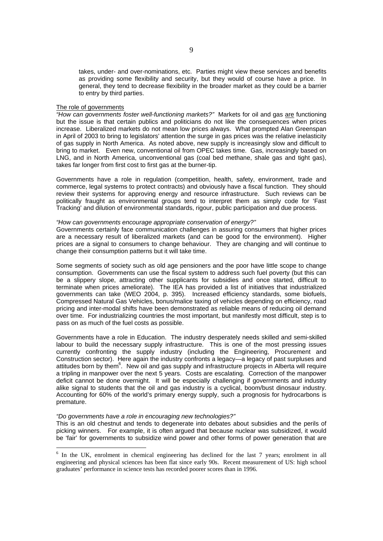takes, under- and over-nominations, etc. Parties might view these services and benefits as providing some flexibility and security, but they would of course have a price. In general, they tend to decrease flexibility in the broader market as they could be a barrier to entry by third parties.

#### The role of governments

*"How can governments foster well-functioning markets?"* Markets for oil and gas are functioning but the issue is that certain publics and politicians do not like the consequences when prices increase. Liberalized markets do not mean low prices always. What prompted Alan Greenspan in April of 2003 to bring to legislators' attention the surge in gas prices was the relative inelasticity of gas supply in North America. As noted above, new supply is increasingly slow and difficult to bring to market. Even new, conventional oil from OPEC takes time. Gas, increasingly based on LNG, and in North America, unconventional gas (coal bed methane, shale gas and tight gas), takes far longer from first cost to first gas at the burner-tip.

Governments have a role in regulation (competition, health, safety, environment, trade and commerce, legal systems to protect contracts) and obviously have a fiscal function. They should review their systems for approving energy and resource infrastructure. Such reviews can be politically fraught as environmental groups tend to interpret them as simply code for 'Fast Tracking' and dilution of environmental standards, rigour, public participation and due process.

#### *"How can governments encourage appropriate conservation of energy?"*

Governments certainly face communication challenges in assuring consumers that higher prices are a necessary result of liberalized markets (and can be good for the environment). Higher prices are a signal to consumers to change behaviour. They are changing and will continue to change their consumption patterns but it will take time.

Some segments of society such as old age pensioners and the poor have little scope to change consumption. Governments can use the fiscal system to address such fuel poverty (but this can be a slippery slope, attracting other supplicants for subsidies and once started, difficult to terminate when prices ameliorate). The IEA has provided a list of initiatives that industrialized governments can take (WEO 2004, p. 395). Increased efficiency standards, some biofuels, Compressed Natural Gas Vehicles, bonus/malice taxing of vehicles depending on efficiency, road pricing and inter-modal shifts have been demonstrated as reliable means of reducing oil demand over time. For industrializing countries the most important, but manifestly most difficult, step is to pass on as much of the fuel costs as possible.

Governments have a role in Education. The industry desperately needs skilled and semi-skilled labour to build the necessary supply infrastructure. This is one of the most pressing issues currently confronting the supply industry (including the Engineering, Procurement and Construction sector). Here again the industry confronts a legacy—a legacy of past surpluses and attitudes born by them<sup>6</sup>. New oil and gas supply and infrastructure projects in Alberta will require a tripling in manpower over the next 5 years. Costs are escalating. Correction of the manpower deficit cannot be done overnight. It will be especially challenging if governments and industry alike signal to students that the oil and gas industry is a cyclical, boom/bust dinosaur industry. Accounting for 60% of the world's primary energy supply, such a prognosis for hydrocarbons is premature.

#### *"Do governments have a role in encouraging new technologies?"*

This is an old chestnut and tends to degenerate into debates about subsidies and the perils of picking winners. For example, it is often argued that because nuclear was subsidized, it would be 'fair' for governments to subsidize wind power and other forms of power generation that are

<sup>&</sup>lt;sup>6</sup> In the UK, enrolment in chemical engineering has declined for the last 7 years; enrolment in all engineering and physical sciences has been flat since early 90s. Recent measurement of US: high school graduates' performance in science tests has recorded poorer scores than in 1996.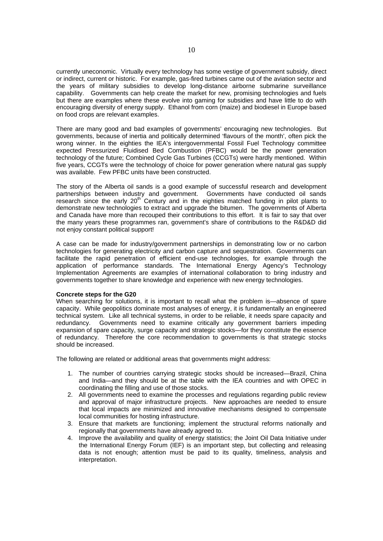currently uneconomic. Virtually every technology has some vestige of government subsidy, direct or indirect, current or historic. For example, gas-fired turbines came out of the aviation sector and the years of military subsidies to develop long-distance airborne submarine surveillance capability. Governments can help create the market for new, promising technologies and fuels but there are examples where these evolve into gaming for subsidies and have little to do with encouraging diversity of energy supply. Ethanol from corn (maize) and biodiesel in Europe based on food crops are relevant examples.

There are many good and bad examples of governments' encouraging new technologies. But governments, because of inertia and politically determined 'flavours of the month', often pick the wrong winner. In the eighties the IEA's intergovernmental Fossil Fuel Technology committee expected Pressurized Fluidised Bed Combustion (PFBC) would be the power generation technology of the future; Combined Cycle Gas Turbines (CCGTs) were hardly mentioned. Within five years, CCGTs were the technology of choice for power generation where natural gas supply was available. Few PFBC units have been constructed.

The story of the Alberta oil sands is a good example of successful research and development partnerships between industry and government. Governments have conducted oil sands research since the early  $20<sup>th</sup>$  Century and in the eighties matched funding in pilot plants to demonstrate new technologies to extract and upgrade the bitumen. The governments of Alberta and Canada have more than recouped their contributions to this effort. It is fair to say that over the many years these programmes ran, government's share of contributions to the R&D&D did not enjoy constant political support!

A case can be made for industry/government partnerships in demonstrating low or no carbon technologies for generating electricity and carbon capture and sequestration. Governments can facilitate the rapid penetration of efficient end-use technologies, for example through the application of performance standards. The International Energy Agency's Technology Implementation Agreements are examples of international collaboration to bring industry and governments together to share knowledge and experience with new energy technologies.

#### **Concrete steps for the G20**

When searching for solutions, it is important to recall what the problem is—absence of spare capacity. While geopolitics dominate most analyses of energy, it is fundamentally an engineered technical system. Like all technical systems, in order to be reliable, it needs spare capacity and redundancy. Governments need to examine critically any government barriers impeding expansion of spare capacity, surge capacity and strategic stocks—for they constitute the essence of redundancy. Therefore the core recommendation to governments is that strategic stocks should be increased.

The following are related or additional areas that governments might address:

- 1. The number of countries carrying strategic stocks should be increased—Brazil, China and India—and they should be at the table with the IEA countries and with OPEC in coordinating the filling and use of those stocks.
- 2. All governments need to examine the processes and regulations regarding public review and approval of major infrastructure projects. New approaches are needed to ensure that local impacts are minimized and innovative mechanisms designed to compensate local communities for hosting infrastructure.
- 3. Ensure that markets are functioning; implement the structural reforms nationally and regionally that governments have already agreed to.
- 4. Improve the availability and quality of energy statistics; the Joint Oil Data Initiative under the International Energy Forum (IEF) is an important step, but collecting and releasing data is not enough; attention must be paid to its quality, timeliness, analysis and interpretation.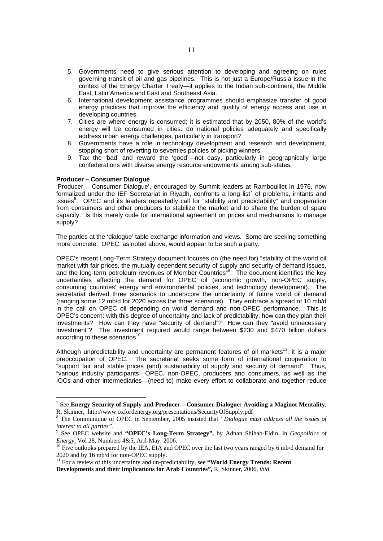- 5. Governments need to give serious attention to developing and agreeing on rules governing transit of oil and gas pipelines. This is not just a Europe/Russia issue in the context of the Energy Charter Treaty—it applies to the Indian sub-continent, the Middle East, Latin America and East and Southeast Asia.
- 6. International development assistance programmes should emphasize transfer of good energy practices that improve the efficiency and quality of energy access and use in developing countries.
- 7. Cities are where energy is consumed; it is estimated that by 2050, 80% of the world's energy will be consumed in cities: do national policies adequately and specifically address urban energy challenges, particularly in transport?
- 8. Governments have a role in technology development and research and development, stopping short of reverting to seventies policies of picking winners.
- 9. Tax the 'bad' and reward the 'good'—not easy, particularly in geographically large confederations with diverse energy resource endowments among sub-states.

## **Producer – Consumer Dialogue**

'Producer – Consumer Dialogue', encouraged by Summit leaders at Rambouillet in 1976, now formalized under the IEF Secretariat in Riyadh, confronts a long list<sup>7</sup> of problems, irritants and issues<sup>8</sup>. OPEC and its leaders repeatedly call for "stability and predictability" and cooperation from consumers and other producers to stabilize the market and to share the burden of spare capacity. Is this merely code for international agreement on prices and mechanisms to manage supply?

The parties at the 'dialogue' table exchange information and views. Some are seeking something more concrete. OPEC, as noted above, would appear to be such a party.

OPEC's recent Long-Term Strategy document focuses on (the need for) "stability of the world oil market with fair prices, the mutually dependent security of supply and security of demand issues, and the long-term petroleum revenues of Member Countries"<sup>9</sup>. The document identifies the key uncertainties affecting the demand for OPEC oil (economic growth, non-OPEC supply, consuming countries' energy and environmental policies, and technology development). The secretariat derived three scenarios to underscore the uncertainty of future world oil demand (ranging some 12 mb/d for 2020 across the three scenarios). They embrace a spread of 10 mb/d in the call on OPEC oil depending on world demand and non-OPEC performance. This is OPEC's concern: with this degree of uncertainty and lack of predictability, how can they plan their investments? How can they have "security of demand"? How can they "avoid unnecessary investment"? The investment required would range between \$230 and \$470 billion dollars according to these scenarios $10$ .

Although unpredictability and uncertainty are permanent features of oil markets<sup>11</sup>, it is a major preoccupation of OPEC. The secretariat seeks some form of international cooperation to "support fair and stable prices (and) sustainability of supply and security of demand". Thus, "various industry participants—OPEC, non-OPEC, producers and consumers, as well as the IOCs and other intermediaries—(need to) make every effort to collaborate and together reduce

<sup>7</sup> See **Energy Security of Supply and Producer—Consumer Dialogue: Avoiding a Maginot Mentality**, R. Skinner, http://www.oxfordenergy.org/presentations/SecurityOfSupply.pdf

<sup>8</sup> The Communiqué of OPEC in September, 2005 insisted that *"Dialogue must address all the issues of interest to all parties".* 

See OPEC website and **"OPEC's Long-Term Strategy",** by Adnan Shihab-Eldin, in *Geopolitics of Energy*, Vol 28, Numbers 4&5, Aril-May, 2006.<br><sup>10</sup> Five outlooks prepared by the IEA, EIA and OPEC over the last two years ranged by 6 mb/d demand for

<sup>2020</sup> and by 16 mb/d for non-OPEC supply.

<sup>11</sup> For a review of this uncertainty and un-predictability, see **"World Energy Trends: Recent Developments and their Implications for Arab Countries",** R. Skinner, 2006, *ibid*.